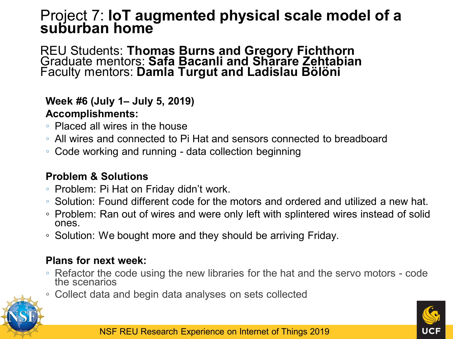## Project 7: **IoT augmented physical scale model of a suburban home**

REU Students: **Thomas Burns and Gregory Fichthorn** Graduate mentors: **Safa Bacanli and Sharare Zehtabian** Faculty mentors: **Damla Turgut and Ladislau Bölöni**

#### **Week #6 (July 1– July 5, 2019) Accomplishments:**

- Placed all wires in the house
- All wires and connected to Pi Hat and sensors connected to breadboard
- Code working and running data collection beginning

#### **Problem & Solutions**

- Problem: Pi Hat on Friday didn't work.
- Solution: Found different code for the motors and ordered and utilized a new hat.
- Problem: Ran out of wires and were only left with splintered wires instead of solid ones.
- Solution: We bought more and they should be arriving Friday.

### **Plans for next week:**

- Refactor the code using the new libraries for the hat and the servo motors code the scenarios
- Collect data and begin data analyses on sets collected



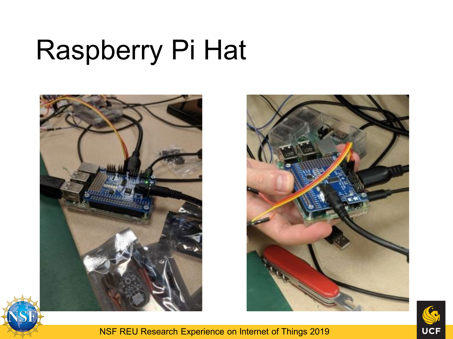### Raspberry Pi Hat





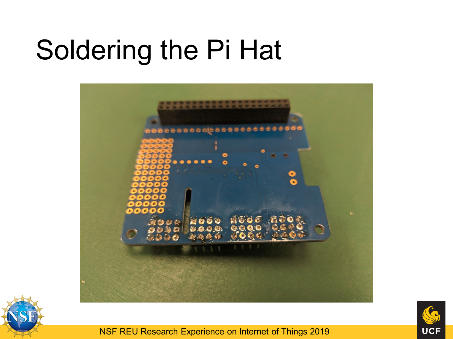## Soldering the Pi Hat





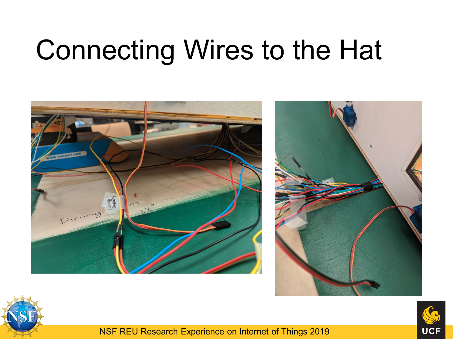# Connecting Wires to the Hat